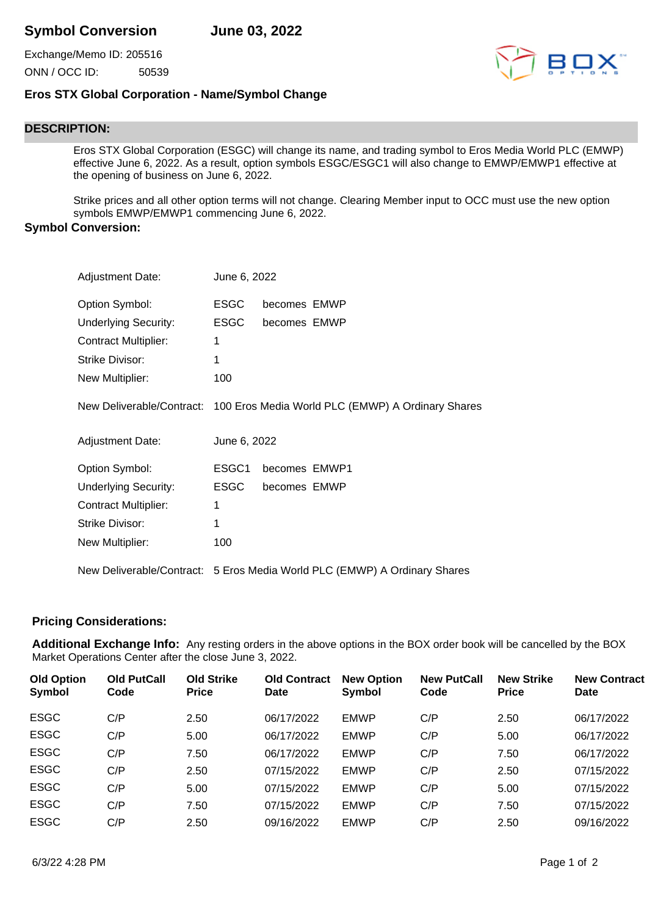Exchange/Memo ID: 205516 ONN / OCC ID: 50539



## **Eros STX Global Corporation - Name/Symbol Change**

## **DESCRIPTION:**

Eros STX Global Corporation (ESGC) will change its name, and trading symbol to Eros Media World PLC (EMWP) effective June 6, 2022. As a result, option symbols ESGC/ESGC1 will also change to EMWP/EMWP1 effective at the opening of business on June 6, 2022.

Strike prices and all other option terms will not change. Clearing Member input to OCC must use the new option symbols EMWP/EMWP1 commencing June 6, 2022.

## **Symbol Conversion:**

| <b>Adjustment Date:</b>     | June 6, 2022 |               |                                                                             |
|-----------------------------|--------------|---------------|-----------------------------------------------------------------------------|
| Option Symbol:              | <b>ESGC</b>  | becomes EMWP  |                                                                             |
| <b>Underlying Security:</b> | <b>ESGC</b>  | becomes EMWP  |                                                                             |
| <b>Contract Multiplier:</b> | 1            |               |                                                                             |
| <b>Strike Divisor:</b>      | 1            |               |                                                                             |
| New Multiplier:             | 100          |               |                                                                             |
|                             |              |               | New Deliverable/Contract: 100 Eros Media World PLC (EMWP) A Ordinary Shares |
| <b>Adjustment Date:</b>     | June 6, 2022 |               |                                                                             |
| Option Symbol:              | ESGC1        | becomes EMWP1 |                                                                             |
|                             |              |               |                                                                             |
| <b>Underlying Security:</b> | <b>ESGC</b>  | becomes EMWP  |                                                                             |
| <b>Contract Multiplier:</b> | 1            |               |                                                                             |
| <b>Strike Divisor:</b>      | 1            |               |                                                                             |
| New Multiplier:             | 100          |               |                                                                             |

## **Pricing Considerations:**

**Additional Exchange Info:** Any resting orders in the above options in the BOX order book will be cancelled by the BOX Market Operations Center after the close June 3, 2022.

| <b>Old Option</b><br>Symbol | <b>Old PutCall</b><br>Code | <b>Old Strike</b><br><b>Price</b> | <b>Old Contract</b><br><b>Date</b> | <b>New Option</b><br>Symbol | <b>New PutCall</b><br>Code | <b>New Strike</b><br><b>Price</b> | <b>New Contract</b><br><b>Date</b> |
|-----------------------------|----------------------------|-----------------------------------|------------------------------------|-----------------------------|----------------------------|-----------------------------------|------------------------------------|
| <b>ESGC</b>                 | C/P                        | 2.50                              | 06/17/2022                         | <b>EMWP</b>                 | C/P                        | 2.50                              | 06/17/2022                         |
| <b>ESGC</b>                 | C/P                        | 5.00                              | 06/17/2022                         | <b>EMWP</b>                 | C/P                        | 5.00                              | 06/17/2022                         |
| <b>ESGC</b>                 | C/P                        | 7.50                              | 06/17/2022                         | <b>EMWP</b>                 | C/P                        | 7.50                              | 06/17/2022                         |
| <b>ESGC</b>                 | C/P                        | 2.50                              | 07/15/2022                         | <b>EMWP</b>                 | C/P                        | 2.50                              | 07/15/2022                         |
| <b>ESGC</b>                 | C/P                        | 5.00                              | 07/15/2022                         | <b>EMWP</b>                 | C/P                        | 5.00                              | 07/15/2022                         |
| <b>ESGC</b>                 | C/P                        | 7.50                              | 07/15/2022                         | <b>EMWP</b>                 | C/P                        | 7.50                              | 07/15/2022                         |
| <b>ESGC</b>                 | C/P                        | 2.50                              | 09/16/2022                         | <b>EMWP</b>                 | C/P                        | 2.50                              | 09/16/2022                         |